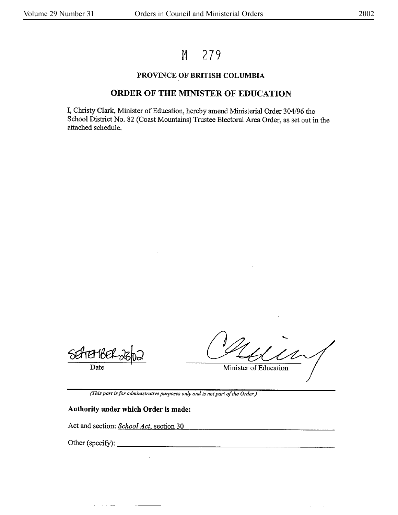# M 279

### **PROVINCE OF BRITISH COLUMBIA**

## **ORDER OF THE MINISTER** OF **EDUCATION**

I, Christy Clark, Minister of Education, hereby amend Ministerial Order 304/96 the School District No. 82 (Coast Mountains) Trustee Electoral Area Order, as set out in the attached schedule.

Date

Minister of Education

*(This part is for administrative purposes only and* is *not part of the Order.)* 

 $\sim$ 

 $\bar{z}$ 

#### **Authority under which Order is made:**

Act and section: *School Act*, section 30

 $\sim 10$ 

Other (specify):  $\qquad \qquad$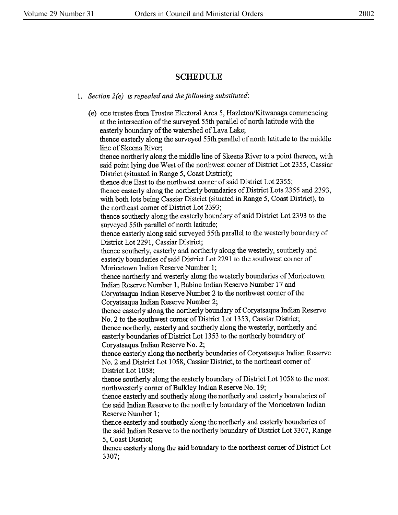### **SCHEDULE**

1. *Section 2(e) is repealed and the following substituted:* 

(e) one trustee from Trustee Electoral Area 5, Hazleton/Kitwanaga commencing at the intersection of the surveyed 55th parallel of north latitude with the easterly boundary of the watershed of Lava Lake; thence easterly along the surveyed 55th parallel of north latitude to the middle line of Skeena River; thence northerly along the middle line of Skeena River to a point thereon, with said point lying due West of the northwest comer of District Lot 2355, Cassiar District (situated in Range 5, Coast District); thence due East to the northwest comer of said District Lot 2355; thence easterly along the northerly boundaries of District Lots 2355 and 2393, with both lots being Cassiar District (situated in Range S, Coast District), to the northeast comer of District Lot 2393; thence southerly along the easterly boundary of said District Lot 2393 to the surveyed 55th parallel of north latitude; thence easterly along said surveyed 55th parallel to the westerly boundary of District Lot 2291, Cassiar District; thence southerly, easterly and northerly along the westerly, southerly and easterly boundaries of said District Lot 2291 to the southwest comer of Moricetown Indian **Reserve** Number 1; thence northerly and westerly along the westerly boundaries of Moricetown Indian Reserve Number 1, Babine Indian Reserve Number 17 and Coryatsaqua Indian Reserve Number 2 to the northwest comer of the Coryatsaqua Indian Reserve Number 2; thence easterly along the northerly boundary of Coryatsaqua Indian Reserve No. 2 to the southwest comer of District Lot 1353, Cassiar District; thence northerly, easterly and southerly along the westerly, northerly and easterly boundaries of District Lot 1353 to the northerly boundary of Coryatsaqua Indian Reserve No. 2; thence easterly along the northerly boundaries of Coryatsaqua Indian Reserve No. 2 and District Lot 1058, Cassiar District, to the northeast corner of District Lot 1058; thence southerly along the easterly boundary of District Lot 1058 to the most northwesterly comer of Bulkley Indian Reserve No. 19; thence easterly and southerly along the northerly and easterly boundaries of the said Indian Reserve to the northerly boundary of the Moricetown Indian Reserve Number 1; thence easterly and southerly along the northerly and easterly boundaries of the said Indian Reserve to the northerly boundary of District Lot 3307, Range 5, Coast District; thence easterly along the said boundary to the northeast corner of District Lot 3307;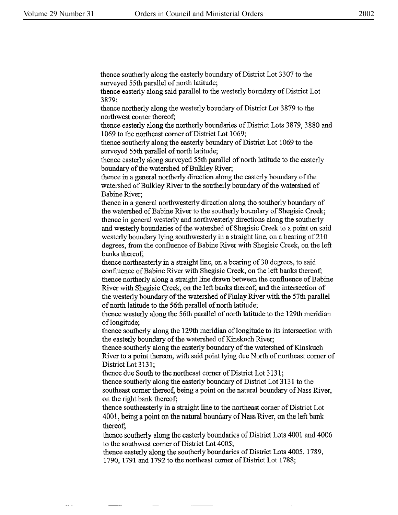thence southerly along the easterly boundary of District Lot 3307 to the surveyed 55th parallel of north latitude;

thence easterly along said parallel to the westerly boundary of District Lot 3879;

thence northerly along the westerly boundary of District Lot 3879 to the northwest comer thereof;

thence easterly along the northerly boundaries of District Lots 3879, 3880 and 1069 to the northeast comer of District Lot 1069;

thence southerly along the easterly boundary of District Lot 1069 to the surveyed 55th parallel of north latitude;

thence easterly along surveyed 55th parallel of north latitude to the easterly boundary of the watershed of Bulkley River;

thence in a general northerly direction along the easterly boundary of the watershed of Bulkley River to the southerly boundary of the watershed of Babine River;

thence in a general northwesterly direction along the southerly boundary of the watershed of Babine River to the southerly boundary of Shegisic Creek; thence in general westerly and northwesterly directions along the southerly and westerly boundaries of the watershed of Shegisic Creek to a point on said westerly boundary lying southwesterly in a straight line, on a bearing of 210 degrees, from the confluence of Babine River with Shegisic Creek, on the left banks thereof;

thence northeasterly in a straight line, on a bearing of 30 degrees, to said confluence of Babine River with Shegisic Creek, on the left banks thereof; thence northerly along a straight line drawn between the confluence of Babine River with Shegisic Creek, on the left banks thereof, and the intersection of the westerly boundary of the watershed of Finlay River with the 57th parallel of north latitude to the 56th parallel of north latitude;

thence westerly along the 56th parallel of north latitude to the 129th meridian of longitude;

thence southerly along the 129th meridian of longitude to its intersection with the easterly boundary of the watershed of Kinskuch River;

thence southerly along the easterly boundary of the watershed of Kinskuch River to a point thereon, with said point lying due North of northeast corner of District Lot 3131;

thence due South to the northeast comer of District Lot 3131;

thence southerly along the easterly boundary of District Lot 3131 to the southeast comer thereof, being a point on the natural boundary of Nass River, on the right bank thereof;

thence southeasterly in a straight line to the northeast comer of District Lot 4001, being a point on the natural boundary of Nass River, on the left bank thereof;

thence southerly along the easterly boundaries of District Lots 4001 and 4006 to the southwest comer of District Lot 4005;

thence easterly along the southerly boundaries of District Lots 4005, 1789, 1790, 1791 and 1792 to the northeast comer of District Lot 1788;